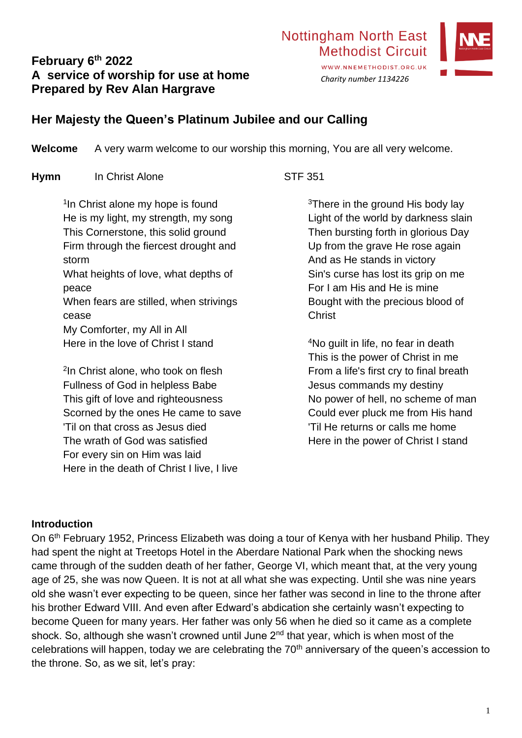# **February 6th 2022 A service of worship for use at home Prepared by Rev Alan Hargrave**



**Welcome** A very warm welcome to our worship this morning, You are all very welcome.

**Hymn** In Christ Alone STF 351

<sup>1</sup>In Christ alone my hope is found He is my light, my strength, my song This Cornerstone, this solid ground Firm through the fiercest drought and storm What heights of love, what depths of peace When fears are stilled, when strivings cease My Comforter, my All in All Here in the love of Christ I stand

2 In Christ alone, who took on flesh Fullness of God in helpless Babe This gift of love and righteousness Scorned by the ones He came to save 'Til on that cross as Jesus died The wrath of God was satisfied For every sin on Him was laid Here in the death of Christ I live, I live

<sup>3</sup>There in the ground His body lay Light of the world by darkness slain Then bursting forth in glorious Day Up from the grave He rose again And as He stands in victory Sin's curse has lost its grip on me For I am His and He is mine Bought with the precious blood of **Christ** 

<sup>4</sup>No guilt in life, no fear in death This is the power of Christ in me From a life's first cry to final breath Jesus commands my destiny No power of hell, no scheme of man Could ever pluck me from His hand 'Til He returns or calls me home Here in the power of Christ I stand

#### **Introduction**

On 6<sup>th</sup> February 1952, Princess Elizabeth was doing a tour of Kenya with her husband Philip. They had spent the night at Treetops Hotel in the Aberdare National Park when the shocking news came through of the sudden death of her father, George VI, which meant that, at the very young age of 25, she was now Queen. It is not at all what she was expecting. Until she was nine years old she wasn't ever expecting to be queen, since her father was second in line to the throne after his brother Edward VIII. And even after Edward's abdication she certainly wasn't expecting to become Queen for many years. Her father was only 56 when he died so it came as a complete shock. So, although she wasn't crowned until June 2<sup>nd</sup> that year, which is when most of the celebrations will happen, today we are celebrating the 70<sup>th</sup> anniversary of the queen's accession to the throne. So, as we sit, let's pray:

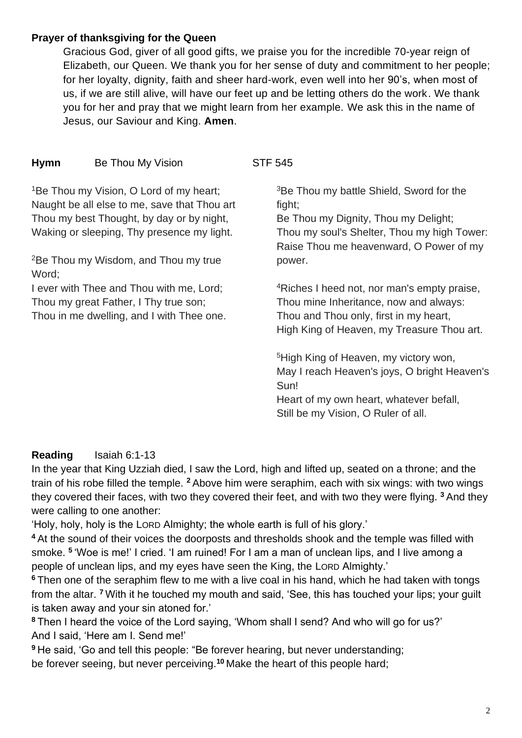### **Prayer of thanksgiving for the Queen**

Gracious God, giver of all good gifts, we praise you for the incredible 70-year reign of Elizabeth, our Queen. We thank you for her sense of duty and commitment to her people; for her loyalty, dignity, faith and sheer hard-work, even well into her 90's, when most of us, if we are still alive, will have our feet up and be letting others do the work. We thank you for her and pray that we might learn from her example. We ask this in the name of Jesus, our Saviour and King. **Amen**.

# **Hymn** Be Thou My Vision STF 545

<sup>1</sup>Be Thou my Vision, O Lord of my heart; Naught be all else to me, save that Thou art Thou my best Thought, by day or by night, Waking or sleeping, Thy presence my light.

<sup>2</sup>Be Thou my Wisdom, and Thou my true Word;

I ever with Thee and Thou with me, Lord; Thou my great Father, I Thy true son; Thou in me dwelling, and I with Thee one.

<sup>3</sup>Be Thou my battle Shield, Sword for the fight;

Be Thou my Dignity, Thou my Delight; Thou my soul's Shelter, Thou my high Tower: Raise Thou me heavenward, O Power of my power.

<sup>4</sup>Riches I heed not, nor man's empty praise, Thou mine Inheritance, now and always: Thou and Thou only, first in my heart, High King of Heaven, my Treasure Thou art.

<sup>5</sup>High King of Heaven, my victory won, May I reach Heaven's joys, O bright Heaven's Sun!

Heart of my own heart, whatever befall, Still be my Vision, O Ruler of all.

### **Reading** Isaiah 6:1-13

In the year that King Uzziah died, I saw the Lord, high and lifted up, seated on a throne; and the train of his robe filled the temple. **<sup>2</sup>** Above him were seraphim, each with six wings: with two wings they covered their faces, with two they covered their feet, and with two they were flying. **<sup>3</sup>** And they were calling to one another:

'Holy, holy, holy is the LORD Almighty; the whole earth is full of his glory.'

**<sup>4</sup>** At the sound of their voices the doorposts and thresholds shook and the temple was filled with smoke. **<sup>5</sup>** 'Woe is me!' I cried. 'I am ruined! For I am a man of unclean lips, and I live among a people of unclean lips, and my eyes have seen the King, the LORD Almighty.'

**<sup>6</sup>** Then one of the seraphim flew to me with a live coal in his hand, which he had taken with tongs from the altar. **<sup>7</sup>** With it he touched my mouth and said, 'See, this has touched your lips; your guilt is taken away and your sin atoned for.'

**<sup>8</sup>** Then I heard the voice of the Lord saying, 'Whom shall I send? And who will go for us?' And I said, 'Here am I. Send me!'

**<sup>9</sup>** He said, 'Go and tell this people: "Be forever hearing, but never understanding; be forever seeing, but never perceiving.**<sup>10</sup>** Make the heart of this people hard;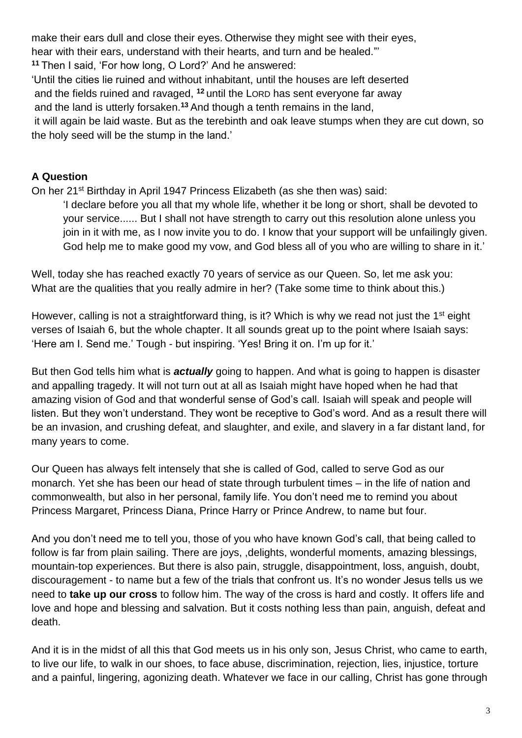make their ears dull and close their eyes. Otherwise they might see with their eyes, hear with their ears, understand with their hearts, and turn and be healed."' **<sup>11</sup>** Then I said, 'For how long, O Lord?' And he answered: 'Until the cities lie ruined and without inhabitant, until the houses are left deserted and the fields ruined and ravaged, **<sup>12</sup>** until the LORD has sent everyone far away and the land is utterly forsaken.**<sup>13</sup>** And though a tenth remains in the land, it will again be laid waste. But as the terebinth and oak leave stumps when they are cut down, so

the holy seed will be the stump in the land.'

## **A Question**

On her 21<sup>st</sup> Birthday in April 1947 Princess Elizabeth (as she then was) said:

'I declare before you all that my whole life, whether it be long or short, shall be devoted to your service...... But I shall not have strength to carry out this resolution alone unless you join in it with me, as I now invite you to do. I know that your support will be unfailingly given. God help me to make good my vow, and God bless all of you who are willing to share in it.'

Well, today she has reached exactly 70 years of service as our Queen. So, let me ask you: What are the qualities that you really admire in her? (Take some time to think about this.)

However, calling is not a straightforward thing, is it? Which is why we read not just the 1<sup>st</sup> eight verses of Isaiah 6, but the whole chapter. It all sounds great up to the point where Isaiah says: 'Here am I. Send me.' Tough - but inspiring. 'Yes! Bring it on. I'm up for it.'

But then God tells him what is *actually* going to happen. And what is going to happen is disaster and appalling tragedy. It will not turn out at all as Isaiah might have hoped when he had that amazing vision of God and that wonderful sense of God's call. Isaiah will speak and people will listen. But they won't understand. They wont be receptive to God's word. And as a result there will be an invasion, and crushing defeat, and slaughter, and exile, and slavery in a far distant land, for many years to come.

Our Queen has always felt intensely that she is called of God, called to serve God as our monarch. Yet she has been our head of state through turbulent times – in the life of nation and commonwealth, but also in her personal, family life. You don't need me to remind you about Princess Margaret, Princess Diana, Prince Harry or Prince Andrew, to name but four.

And you don't need me to tell you, those of you who have known God's call, that being called to follow is far from plain sailing. There are joys, ,delights, wonderful moments, amazing blessings, mountain-top experiences. But there is also pain, struggle, disappointment, loss, anguish, doubt, discouragement - to name but a few of the trials that confront us. It's no wonder Jesus tells us we need to **take up our cross** to follow him. The way of the cross is hard and costly. It offers life and love and hope and blessing and salvation. But it costs nothing less than pain, anguish, defeat and death.

And it is in the midst of all this that God meets us in his only son, Jesus Christ, who came to earth, to live our life, to walk in our shoes, to face abuse, discrimination, rejection, lies, injustice, torture and a painful, lingering, agonizing death. Whatever we face in our calling, Christ has gone through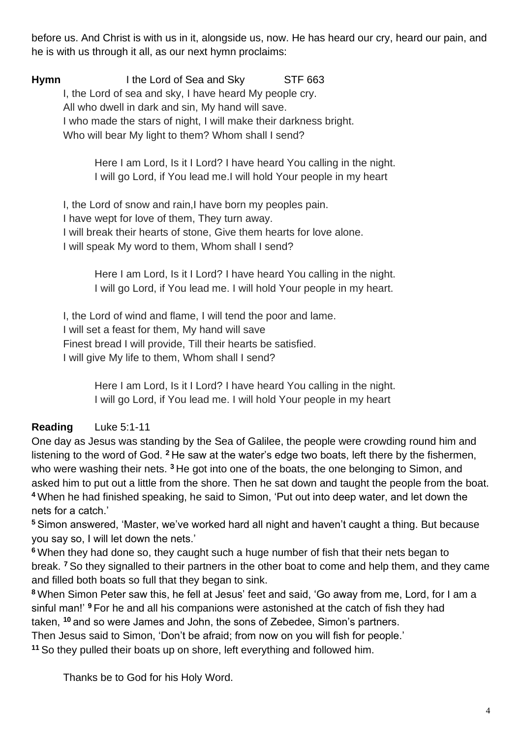before us. And Christ is with us in it, alongside us, now. He has heard our cry, heard our pain, and he is with us through it all, as our next hymn proclaims:

**Hymn** I the Lord of Sea and Sky STF 663 I, the Lord of sea and sky, I have heard My people cry. All who dwell in dark and sin, My hand will save. I who made the stars of night, I will make their darkness bright. Who will bear My light to them? Whom shall I send?

> Here I am Lord, Is it I Lord? I have heard You calling in the night. I will go Lord, if You lead me.I will hold Your people in my heart

I, the Lord of snow and rain,I have born my peoples pain. I have wept for love of them, They turn away. I will break their hearts of stone, Give them hearts for love alone. I will speak My word to them, Whom shall I send?

> Here I am Lord, Is it I Lord? I have heard You calling in the night. I will go Lord, if You lead me. I will hold Your people in my heart.

I, the Lord of wind and flame, I will tend the poor and lame. I will set a feast for them, My hand will save Finest bread I will provide, Till their hearts be satisfied. I will give My life to them, Whom shall I send?

> Here I am Lord, Is it I Lord? I have heard You calling in the night. I will go Lord, if You lead me. I will hold Your people in my heart

# **Reading** Luke 5:1-11

One day as Jesus was standing by the Sea of Galilee, the people were crowding round him and listening to the word of God. **<sup>2</sup>** He saw at the water's edge two boats, left there by the fishermen, who were washing their nets. **<sup>3</sup>** He got into one of the boats, the one belonging to Simon, and asked him to put out a little from the shore. Then he sat down and taught the people from the boat. **<sup>4</sup>** When he had finished speaking, he said to Simon, 'Put out into deep water, and let down the nets for a catch.'

**<sup>5</sup>** Simon answered, 'Master, we've worked hard all night and haven't caught a thing. But because you say so, I will let down the nets.'

**<sup>6</sup>** When they had done so, they caught such a huge number of fish that their nets began to break. **<sup>7</sup>** So they signalled to their partners in the other boat to come and help them, and they came and filled both boats so full that they began to sink.

**<sup>8</sup>** When Simon Peter saw this, he fell at Jesus' feet and said, 'Go away from me, Lord, for I am a sinful man!' **<sup>9</sup>** For he and all his companions were astonished at the catch of fish they had taken, **<sup>10</sup>** and so were James and John, the sons of Zebedee, Simon's partners.

Then Jesus said to Simon, 'Don't be afraid; from now on you will fish for people.'

**<sup>11</sup>** So they pulled their boats up on shore, left everything and followed him.

Thanks be to God for his Holy Word.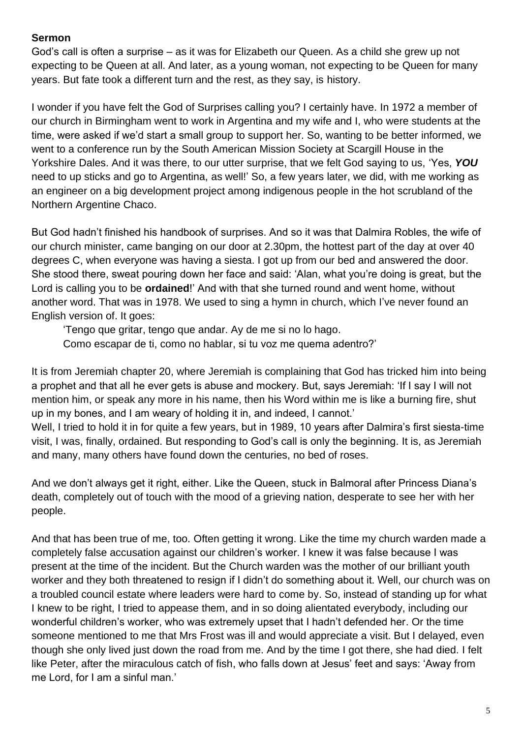## **Sermon**

God's call is often a surprise – as it was for Elizabeth our Queen. As a child she grew up not expecting to be Queen at all. And later, as a young woman, not expecting to be Queen for many years. But fate took a different turn and the rest, as they say, is history.

I wonder if you have felt the God of Surprises calling you? I certainly have. In 1972 a member of our church in Birmingham went to work in Argentina and my wife and I, who were students at the time, were asked if we'd start a small group to support her. So, wanting to be better informed, we went to a conference run by the South American Mission Society at Scargill House in the Yorkshire Dales. And it was there, to our utter surprise, that we felt God saying to us, 'Yes, *YOU* need to up sticks and go to Argentina, as well!' So, a few years later, we did, with me working as an engineer on a big development project among indigenous people in the hot scrubland of the Northern Argentine Chaco.

But God hadn't finished his handbook of surprises. And so it was that Dalmira Robles, the wife of our church minister, came banging on our door at 2.30pm, the hottest part of the day at over 40 degrees C, when everyone was having a siesta. I got up from our bed and answered the door. She stood there, sweat pouring down her face and said: 'Alan, what you're doing is great, but the Lord is calling you to be **ordained**!' And with that she turned round and went home, without another word. That was in 1978. We used to sing a hymn in church, which I've never found an English version of. It goes:

'Tengo que gritar, tengo que andar. Ay de me si no lo hago. Como escapar de ti, como no hablar, si tu voz me quema adentro?'

It is from Jeremiah chapter 20, where Jeremiah is complaining that God has tricked him into being a prophet and that all he ever gets is abuse and mockery. But, says Jeremiah: 'If I say I will not mention him, or speak any more in his name, then his Word within me is like a burning fire, shut up in my bones, and I am weary of holding it in, and indeed, I cannot.'

Well, I tried to hold it in for quite a few years, but in 1989, 10 years after Dalmira's first siesta-time visit, I was, finally, ordained. But responding to God's call is only the beginning. It is, as Jeremiah and many, many others have found down the centuries, no bed of roses.

And we don't always get it right, either. Like the Queen, stuck in Balmoral after Princess Diana's death, completely out of touch with the mood of a grieving nation, desperate to see her with her people.

And that has been true of me, too. Often getting it wrong. Like the time my church warden made a completely false accusation against our children's worker. I knew it was false because I was present at the time of the incident. But the Church warden was the mother of our brilliant youth worker and they both threatened to resign if I didn't do something about it. Well, our church was on a troubled council estate where leaders were hard to come by. So, instead of standing up for what I knew to be right, I tried to appease them, and in so doing alientated everybody, including our wonderful children's worker, who was extremely upset that I hadn't defended her. Or the time someone mentioned to me that Mrs Frost was ill and would appreciate a visit. But I delayed, even though she only lived just down the road from me. And by the time I got there, she had died. I felt like Peter, after the miraculous catch of fish, who falls down at Jesus' feet and says: 'Away from me Lord, for I am a sinful man.'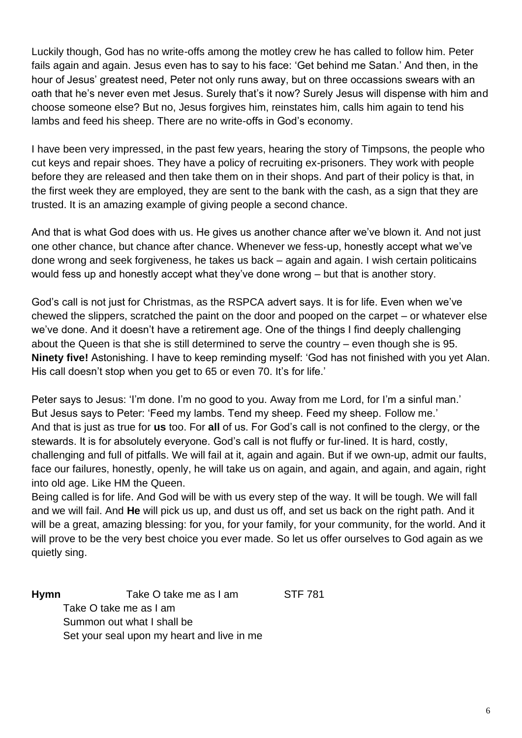Luckily though, God has no write-offs among the motley crew he has called to follow him. Peter fails again and again. Jesus even has to say to his face: 'Get behind me Satan.' And then, in the hour of Jesus' greatest need, Peter not only runs away, but on three occassions swears with an oath that he's never even met Jesus. Surely that's it now? Surely Jesus will dispense with him and choose someone else? But no, Jesus forgives him, reinstates him, calls him again to tend his lambs and feed his sheep. There are no write-offs in God's economy.

I have been very impressed, in the past few years, hearing the story of Timpsons, the people who cut keys and repair shoes. They have a policy of recruiting ex-prisoners. They work with people before they are released and then take them on in their shops. And part of their policy is that, in the first week they are employed, they are sent to the bank with the cash, as a sign that they are trusted. It is an amazing example of giving people a second chance.

And that is what God does with us. He gives us another chance after we've blown it. And not just one other chance, but chance after chance. Whenever we fess-up, honestly accept what we've done wrong and seek forgiveness, he takes us back – again and again. I wish certain politicains would fess up and honestly accept what they've done wrong – but that is another story.

God's call is not just for Christmas, as the RSPCA advert says. It is for life. Even when we've chewed the slippers, scratched the paint on the door and pooped on the carpet – or whatever else we've done. And it doesn't have a retirement age. One of the things I find deeply challenging about the Queen is that she is still determined to serve the country – even though she is 95. **Ninety five!** Astonishing. I have to keep reminding myself: 'God has not finished with you yet Alan. His call doesn't stop when you get to 65 or even 70. It's for life.'

Peter says to Jesus: 'I'm done. I'm no good to you. Away from me Lord, for I'm a sinful man.' But Jesus says to Peter: 'Feed my lambs. Tend my sheep. Feed my sheep. Follow me.' And that is just as true for **us** too. For **all** of us. For God's call is not confined to the clergy, or the stewards. It is for absolutely everyone. God's call is not fluffy or fur-lined. It is hard, costly, challenging and full of pitfalls. We will fail at it, again and again. But if we own-up, admit our faults, face our failures, honestly, openly, he will take us on again, and again, and again, and again, right into old age. Like HM the Queen.

Being called is for life. And God will be with us every step of the way. It will be tough. We will fall and we will fail. And **He** will pick us up, and dust us off, and set us back on the right path. And it will be a great, amazing blessing: for you, for your family, for your community, for the world. And it will prove to be the very best choice you ever made. So let us offer ourselves to God again as we quietly sing.

**Hymn** Take O take me as I am STF 781 Take O take me as I am Summon out what I shall be Set your seal upon my heart and live in me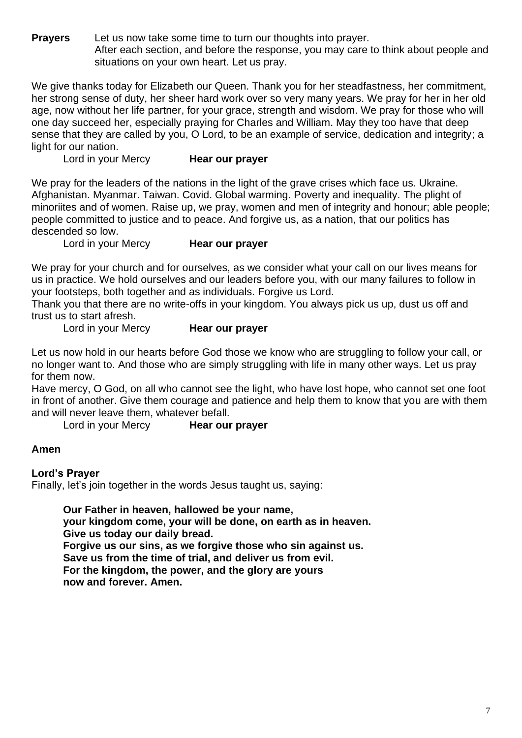**Prayers** Let us now take some time to turn our thoughts into prayer. After each section, and before the response, you may care to think about people and situations on your own heart. Let us pray.

We give thanks today for Elizabeth our Queen. Thank you for her steadfastness, her commitment, her strong sense of duty, her sheer hard work over so very many years. We pray for her in her old age, now without her life partner, for your grace, strength and wisdom. We pray for those who will one day succeed her, especially praying for Charles and William. May they too have that deep sense that they are called by you, O Lord, to be an example of service, dedication and integrity; a light for our nation.

Lord in your Mercy **Hear our prayer**

We pray for the leaders of the nations in the light of the grave crises which face us. Ukraine. Afghanistan. Myanmar. Taiwan. Covid. Global warming. Poverty and inequality. The plight of minoriites and of women. Raise up, we pray, women and men of integrity and honour; able people; people committed to justice and to peace. And forgive us, as a nation, that our politics has descended so low.

Lord in your Mercy **Hear our prayer**

We pray for your church and for ourselves, as we consider what your call on our lives means for us in practice. We hold ourselves and our leaders before you, with our many failures to follow in your footsteps, both together and as individuals. Forgive us Lord.

Thank you that there are no write-offs in your kingdom. You always pick us up, dust us off and trust us to start afresh.

Lord in your Mercy **Hear our prayer**

Let us now hold in our hearts before God those we know who are struggling to follow your call, or no longer want to. And those who are simply struggling with life in many other ways. Let us pray for them now.

Have mercy, O God, on all who cannot see the light, who have lost hope, who cannot set one foot in front of another. Give them courage and patience and help them to know that you are with them and will never leave them, whatever befall.

Lord in your Mercy **Hear our prayer**

### **Amen**

**Lord's Prayer**

Finally, let's join together in the words Jesus taught us, saying:

**Our Father in heaven, hallowed be your name, your kingdom come, your will be done, on earth as in heaven. Give us today our daily bread. Forgive us our sins, as we forgive those who sin against us. Save us from the time of trial, and deliver us from evil. For the kingdom, the power, and the glory are yours now and forever. Amen.**